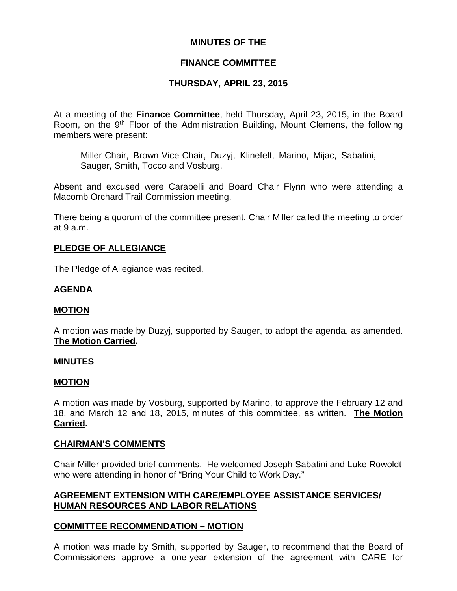# **MINUTES OF THE**

# **FINANCE COMMITTEE**

# **THURSDAY, APRIL 23, 2015**

At a meeting of the **Finance Committee**, held Thursday, April 23, 2015, in the Board Room, on the 9<sup>th</sup> Floor of the Administration Building, Mount Clemens, the following members were present:

Miller-Chair, Brown-Vice-Chair, Duzyj, Klinefelt, Marino, Mijac, Sabatini, Sauger, Smith, Tocco and Vosburg.

Absent and excused were Carabelli and Board Chair Flynn who were attending a Macomb Orchard Trail Commission meeting.

There being a quorum of the committee present, Chair Miller called the meeting to order at 9 a.m.

## **PLEDGE OF ALLEGIANCE**

The Pledge of Allegiance was recited.

## **AGENDA**

### **MOTION**

A motion was made by Duzyj, supported by Sauger, to adopt the agenda, as amended. **The Motion Carried.**

### **MINUTES**

### **MOTION**

A motion was made by Vosburg, supported by Marino, to approve the February 12 and 18, and March 12 and 18, 2015, minutes of this committee, as written. **The Motion Carried.**

### **CHAIRMAN'S COMMENTS**

Chair Miller provided brief comments. He welcomed Joseph Sabatini and Luke Rowoldt who were attending in honor of "Bring Your Child to Work Day."

## **AGREEMENT EXTENSION WITH CARE/EMPLOYEE ASSISTANCE SERVICES/ HUMAN RESOURCES AND LABOR RELATIONS**

### **COMMITTEE RECOMMENDATION – MOTION**

A motion was made by Smith, supported by Sauger, to recommend that the Board of Commissioners approve a one-year extension of the agreement with CARE for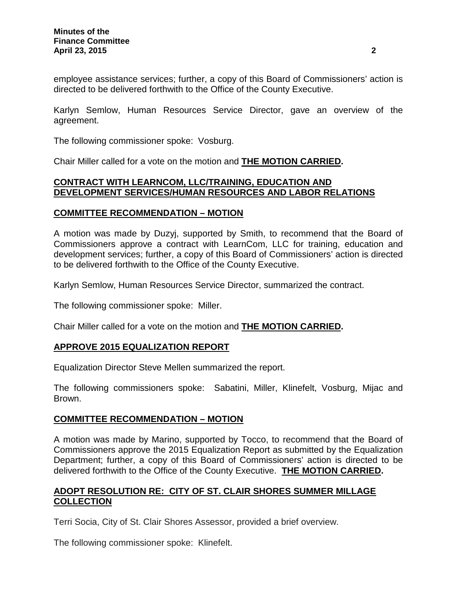employee assistance services; further, a copy of this Board of Commissioners' action is directed to be delivered forthwith to the Office of the County Executive.

Karlyn Semlow, Human Resources Service Director, gave an overview of the agreement.

The following commissioner spoke: Vosburg.

Chair Miller called for a vote on the motion and **THE MOTION CARRIED.**

# **CONTRACT WITH LEARNCOM, LLC/TRAINING, EDUCATION AND DEVELOPMENT SERVICES/HUMAN RESOURCES AND LABOR RELATIONS**

# **COMMITTEE RECOMMENDATION – MOTION**

A motion was made by Duzyj, supported by Smith, to recommend that the Board of Commissioners approve a contract with LearnCom, LLC for training, education and development services; further, a copy of this Board of Commissioners' action is directed to be delivered forthwith to the Office of the County Executive.

Karlyn Semlow, Human Resources Service Director, summarized the contract.

The following commissioner spoke: Miller.

Chair Miller called for a vote on the motion and **THE MOTION CARRIED.**

# **APPROVE 2015 EQUALIZATION REPORT**

Equalization Director Steve Mellen summarized the report.

The following commissioners spoke: Sabatini, Miller, Klinefelt, Vosburg, Mijac and Brown.

# **COMMITTEE RECOMMENDATION – MOTION**

A motion was made by Marino, supported by Tocco, to recommend that the Board of Commissioners approve the 2015 Equalization Report as submitted by the Equalization Department; further, a copy of this Board of Commissioners' action is directed to be delivered forthwith to the Office of the County Executive. **THE MOTION CARRIED.**

# **ADOPT RESOLUTION RE: CITY OF ST. CLAIR SHORES SUMMER MILLAGE COLLECTION**

Terri Socia, City of St. Clair Shores Assessor, provided a brief overview.

The following commissioner spoke: Klinefelt.